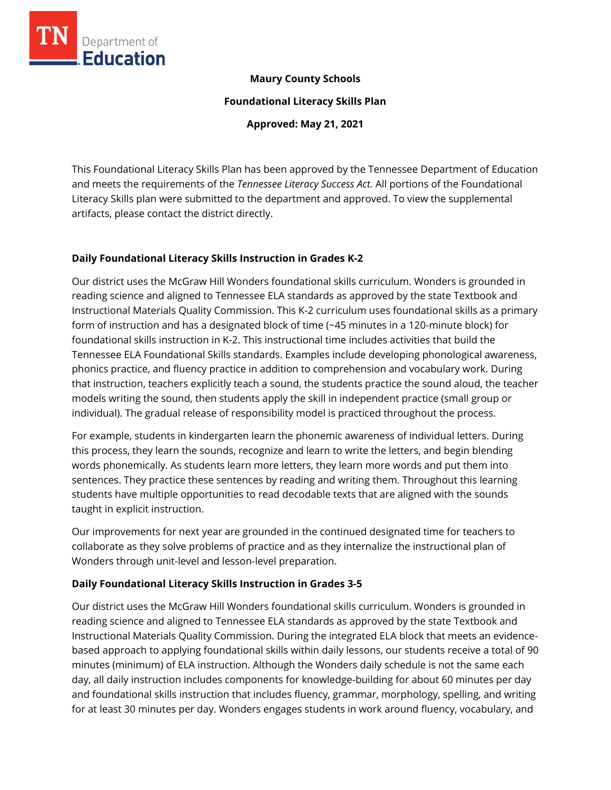

### **Maury County Schools**

**Foundational Literacy Skills Plan**

**Approved: May 21, 2021**

This Foundational Literacy Skills Plan has been approved by the Tennessee Department of Education and meets the requirements of the *Tennessee Literacy Success Act.* All portions of the Foundational Literacy Skills plan were submitted to the department and approved. To view the supplemental artifacts, please contact the district directly.

### **Daily Foundational Literacy Skills Instruction in Grades K-2**

Our district uses the McGraw Hill Wonders foundational skills curriculum. Wonders is grounded in reading science and aligned to Tennessee ELA standards as approved by the state Textbook and Instructional Materials Quality Commission. This K-2 curriculum uses foundational skills as a primary form of instruction and has a designated block of time (~45 minutes in a 120-minute block) for foundational skills instruction in K-2. This instructional time includes activities that build the Tennessee ELA Foundational Skills standards. Examples include developing phonological awareness, phonics practice, and fluency practice in addition to comprehension and vocabulary work. During that instruction, teachers explicitly teach a sound, the students practice the sound aloud, the teacher models writing the sound, then students apply the skill in independent practice (small group or individual). The gradual release of responsibility model is practiced throughout the process.

For example, students in kindergarten learn the phonemic awareness of individual letters. During this process, they learn the sounds, recognize and learn to write the letters, and begin blending words phonemically. As students learn more letters, they learn more words and put them into sentences. They practice these sentences by reading and writing them. Throughout this learning students have multiple opportunities to read decodable texts that are aligned with the sounds taught in explicit instruction.

Our improvements for next year are grounded in the continued designated time for teachers to collaborate as they solve problems of practice and as they internalize the instructional plan of Wonders through unit-level and lesson-level preparation.

# **Daily Foundational Literacy Skills Instruction in Grades 3-5**

Our district uses the McGraw Hill Wonders foundational skills curriculum. Wonders is grounded in reading science and aligned to Tennessee ELA standards as approved by the state Textbook and Instructional Materials Quality Commission. During the integrated ELA block that meets an evidencebased approach to applying foundational skills within daily lessons, our students receive a total of 90 minutes (minimum) of ELA instruction. Although the Wonders daily schedule is not the same each day, all daily instruction includes components for knowledge-building for about 60 minutes per day and foundational skills instruction that includes fluency, grammar, morphology, spelling, and writing for at least 30 minutes per day. Wonders engages students in work around fluency, vocabulary, and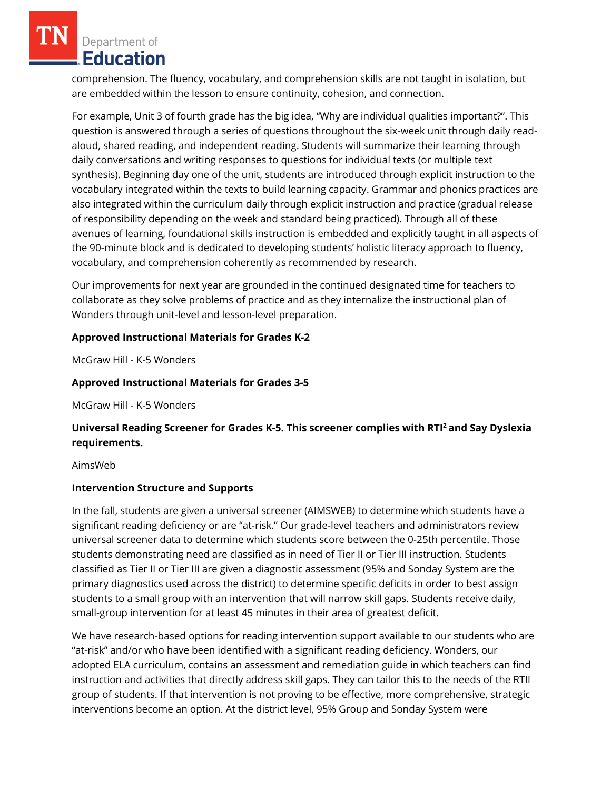Department of Education

comprehension. The fluency, vocabulary, and comprehension skills are not taught in isolation, but are embedded within the lesson to ensure continuity, cohesion, and connection.

For example, Unit 3 of fourth grade has the big idea, "Why are individual qualities important?". This question is answered through a series of questions throughout the six-week unit through daily readaloud, shared reading, and independent reading. Students will summarize their learning through daily conversations and writing responses to questions for individual texts (or multiple text synthesis). Beginning day one of the unit, students are introduced through explicit instruction to the vocabulary integrated within the texts to build learning capacity. Grammar and phonics practices are also integrated within the curriculum daily through explicit instruction and practice (gradual release of responsibility depending on the week and standard being practiced). Through all of these avenues of learning, foundational skills instruction is embedded and explicitly taught in all aspects of the 90-minute block and is dedicated to developing students' holistic literacy approach to fluency, vocabulary, and comprehension coherently as recommended by research.

Our improvements for next year are grounded in the continued designated time for teachers to collaborate as they solve problems of practice and as they internalize the instructional plan of Wonders through unit-level and lesson-level preparation.

# **Approved Instructional Materials for Grades K-2**

McGraw Hill - K-5 Wonders

# **Approved Instructional Materials for Grades 3-5**

McGraw Hill - K-5 Wonders

# **Universal Reading Screener for Grades K-5. This screener complies with RTI<sup>2</sup>and Say Dyslexia requirements.**

#### AimsWeb

### **Intervention Structure and Supports**

In the fall, students are given a universal screener (AIMSWEB) to determine which students have a significant reading deficiency or are "at-risk." Our grade-level teachers and administrators review universal screener data to determine which students score between the 0-25th percentile. Those students demonstrating need are classified as in need of Tier II or Tier III instruction. Students classified as Tier II or Tier III are given a diagnostic assessment (95% and Sonday System are the primary diagnostics used across the district) to determine specific deficits in order to best assign students to a small group with an intervention that will narrow skill gaps. Students receive daily, small-group intervention for at least 45 minutes in their area of greatest deficit.

We have research-based options for reading intervention support available to our students who are "at-risk" and/or who have been identified with a significant reading deficiency. Wonders, our adopted ELA curriculum, contains an assessment and remediation guide in which teachers can find instruction and activities that directly address skill gaps. They can tailor this to the needs of the RTII group of students. If that intervention is not proving to be effective, more comprehensive, strategic interventions become an option. At the district level, 95% Group and Sonday System were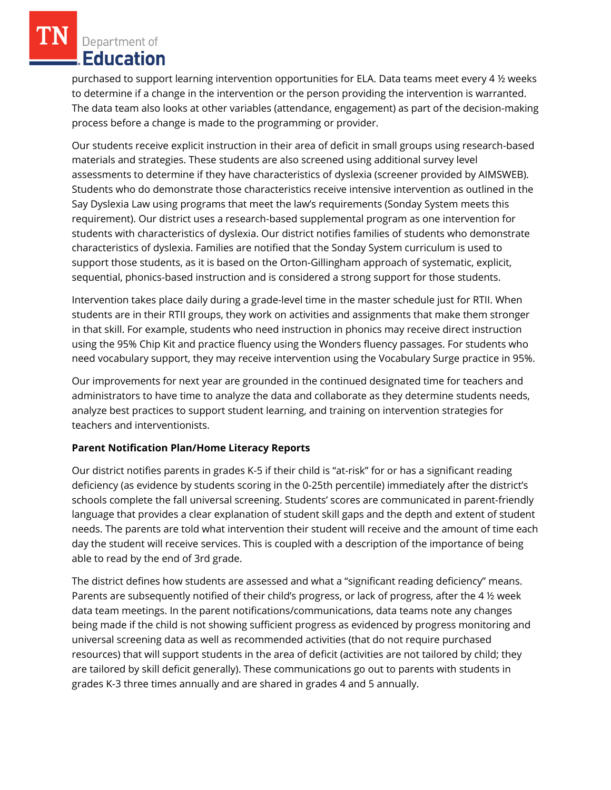Department of **Education** 

purchased to support learning intervention opportunities for ELA. Data teams meet every 4 ½ weeks to determine if a change in the intervention or the person providing the intervention is warranted. The data team also looks at other variables (attendance, engagement) as part of the decision-making process before a change is made to the programming or provider.

Our students receive explicit instruction in their area of deficit in small groups using research-based materials and strategies. These students are also screened using additional survey level assessments to determine if they have characteristics of dyslexia (screener provided by AIMSWEB). Students who do demonstrate those characteristics receive intensive intervention as outlined in the Say Dyslexia Law using programs that meet the law's requirements (Sonday System meets this requirement). Our district uses a research-based supplemental program as one intervention for students with characteristics of dyslexia. Our district notifies families of students who demonstrate characteristics of dyslexia. Families are notified that the Sonday System curriculum is used to support those students, as it is based on the Orton-Gillingham approach of systematic, explicit, sequential, phonics-based instruction and is considered a strong support for those students.

Intervention takes place daily during a grade-level time in the master schedule just for RTII. When students are in their RTII groups, they work on activities and assignments that make them stronger in that skill. For example, students who need instruction in phonics may receive direct instruction using the 95% Chip Kit and practice fluency using the Wonders fluency passages. For students who need vocabulary support, they may receive intervention using the Vocabulary Surge practice in 95%.

Our improvements for next year are grounded in the continued designated time for teachers and administrators to have time to analyze the data and collaborate as they determine students needs, analyze best practices to support student learning, and training on intervention strategies for teachers and interventionists.

### **Parent Notification Plan/Home Literacy Reports**

Our district notifies parents in grades K-5 if their child is "at-risk" for or has a significant reading deficiency (as evidence by students scoring in the 0-25th percentile) immediately after the district's schools complete the fall universal screening. Students' scores are communicated in parent-friendly language that provides a clear explanation of student skill gaps and the depth and extent of student needs. The parents are told what intervention their student will receive and the amount of time each day the student will receive services. This is coupled with a description of the importance of being able to read by the end of 3rd grade.

The district defines how students are assessed and what a "significant reading deficiency" means. Parents are subsequently notified of their child's progress, or lack of progress, after the 4 ½ week data team meetings. In the parent notifications/communications, data teams note any changes being made if the child is not showing sufficient progress as evidenced by progress monitoring and universal screening data as well as recommended activities (that do not require purchased resources) that will support students in the area of deficit (activities are not tailored by child; they are tailored by skill deficit generally). These communications go out to parents with students in grades K-3 three times annually and are shared in grades 4 and 5 annually.